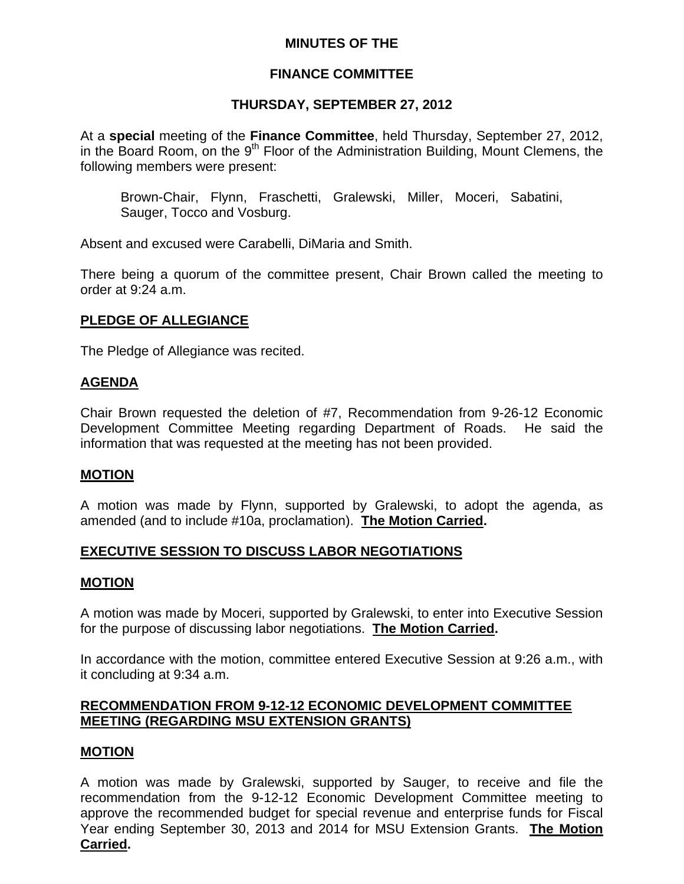# **MINUTES OF THE**

# **FINANCE COMMITTEE**

## **THURSDAY, SEPTEMBER 27, 2012**

At a **special** meeting of the **Finance Committee**, held Thursday, September 27, 2012, in the Board Room, on the  $9<sup>th</sup>$  Floor of the Administration Building, Mount Clemens, the following members were present:

Brown-Chair, Flynn, Fraschetti, Gralewski, Miller, Moceri, Sabatini, Sauger, Tocco and Vosburg.

Absent and excused were Carabelli, DiMaria and Smith.

There being a quorum of the committee present, Chair Brown called the meeting to order at 9:24 a.m.

## **PLEDGE OF ALLEGIANCE**

The Pledge of Allegiance was recited.

## **AGENDA**

Chair Brown requested the deletion of #7, Recommendation from 9-26-12 Economic Development Committee Meeting regarding Department of Roads. He said the information that was requested at the meeting has not been provided.

# **MOTION**

A motion was made by Flynn, supported by Gralewski, to adopt the agenda, as amended (and to include #10a, proclamation). **The Motion Carried.** 

# **EXECUTIVE SESSION TO DISCUSS LABOR NEGOTIATIONS**

### **MOTION**

A motion was made by Moceri, supported by Gralewski, to enter into Executive Session for the purpose of discussing labor negotiations. **The Motion Carried.**

In accordance with the motion, committee entered Executive Session at 9:26 a.m., with it concluding at 9:34 a.m.

# **RECOMMENDATION FROM 9-12-12 ECONOMIC DEVELOPMENT COMMITTEE MEETING (REGARDING MSU EXTENSION GRANTS)**

### **MOTION**

A motion was made by Gralewski, supported by Sauger, to receive and file the recommendation from the 9-12-12 Economic Development Committee meeting to approve the recommended budget for special revenue and enterprise funds for Fiscal Year ending September 30, 2013 and 2014 for MSU Extension Grants. **The Motion Carried.**